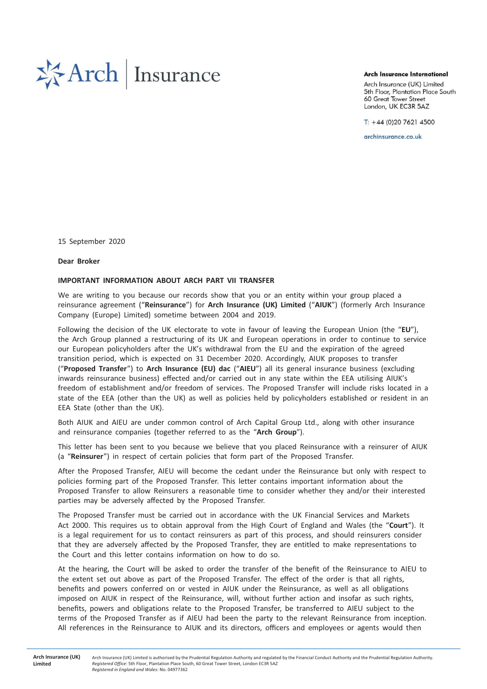# **类Arch Insurance**

#### **Arch Insurance International**

Arch Insurance (UK) Limited 5th Floor, Plantation Place South 60 Great Tower Street London, UK EC3R 5AZ

T:  $+44$  (0)20 7621 4500

archinsurance co.uk

15 September 2020

Dear Broker

#### IMPORTANT INFORMATION ABOUT ARCH PART VII TRANSFER

We are writing to you because our records show that you or an entity within your group placed a reinsurance agreement ("Reinsurance") for Arch Insurance (UK) Limited ("AIUK") (formerly Arch Insurance Company (Europe) Limited) sometime between 2004 and 2019.

Following the decision of the UK electorate to vote in favour of leaving the European Union (the "EU"), the Arch Group planned a restructuring of its UK and European operations in order to continue to service our European policyholders after the UK's withdrawal from the EU and the expiration of the agreed transition period, which is expected on 31 December 2020. Accordingly, AIUK proposes to transfer ("Proposed Transfer") to Arch Insurance (EU) dac ("AIEU") all its general insurance business (excluding inwards reinsurance business) effected and/or carried out in any state within the EEA utilising AIUK's freedom of establishment and/or freedom of services. The Proposed Transfer will include risks located in a state of the EEA (other than the UK) as well as policies held by policyholders established or resident in an EEA State (other than the UK).

Both AIUK and AIEU are under common control of Arch Capital Group Ltd., along with other insurance and reinsurance companies (together referred to as the "Arch Group").

This letter has been sent to you because we believe that you placed Reinsurance with a reinsurer of AIUK (a "Reinsurer") in respect of certain policies that form part of the Proposed Transfer.

After the Proposed Transfer, AIEU will become the cedant under the Reinsurance but only with respect to policies forming part of the Proposed Transfer. This letter contains important information about the Proposed Transfer to allow Reinsurers a reasonable time to consider whether they and/or their interested parties may be adversely affected by the Proposed Transfer.

The Proposed Transfer must be carried out in accordance with the UK Financial Services and Markets Act 2000. This requires us to obtain approval from the High Court of England and Wales (the "Court"). It is a legal requirement for us to contact reinsurers as part of this process, and should reinsurers consider that they are adversely affected by the Proposed Transfer, they are entitled to make representations to the Court and this letter contains information on how to do so.

At the hearing, the Court will be asked to order the transfer of the benefit of the Reinsurance to AIEU to the extent set out above as part of the Proposed Transfer. The effect of the order is that all rights, benefits and powers conferred on or vested in AIUK under the Reinsurance, as well as all obligations imposed on AIUK in respect of the Reinsurance, will, without further action and insofar as such rights, benefits, powers and obligations relate to the Proposed Transfer, be transferred to AIEU subject to the terms of the Proposed Transfer as if AIEU had been the party to the relevant Reinsurance from inception. All references in the Reinsurance to AIUK and its directors, officers and employees or agents would then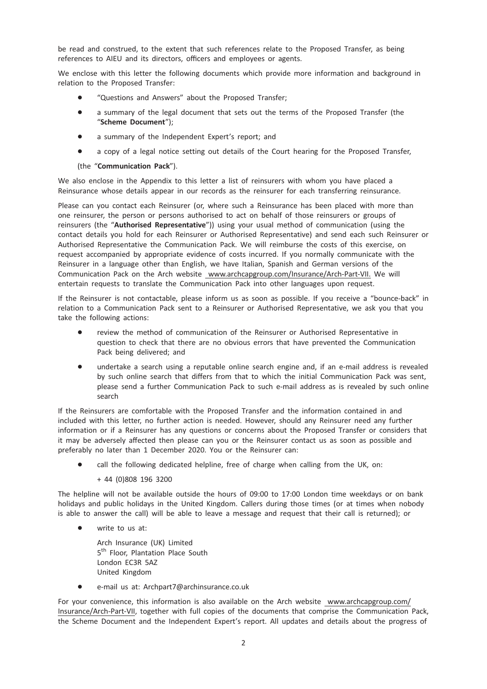be read and construed, to the extent that such references relate to the Proposed Transfer, as being references to AIEU and its directors, officers and employees or agents.

We enclose with this letter the following documents which provide more information and background in relation to the Proposed Transfer:

- \* "Questions and Answers" about the Proposed Transfer;
- a summary of the legal document that sets out the terms of the Proposed Transfer (the "Scheme Document");
- a summary of the Independent Expert's report; and
- a copy of a legal notice setting out details of the Court hearing for the Proposed Transfer.

### (the "Communication Pack").

We also enclose in the Appendix to this letter a list of reinsurers with whom you have placed a Reinsurance whose details appear in our records as the reinsurer for each transferring reinsurance.

Please can you contact each Reinsurer (or, where such a Reinsurance has been placed with more than one reinsurer, the person or persons authorised to act on behalf of those reinsurers or groups of reinsurers (the "Authorised Representative")) using your usual method of communication (using the contact details you hold for each Reinsurer or Authorised Representative) and send each such Reinsurer or Authorised Representative the Communication Pack. We will reimburse the costs of this exercise, on request accompanied by appropriate evidence of costs incurred. If you normally communicate with the Reinsurer in a language other than English, we have Italian, Spanish and German versions of the Communication Pack on the Arch website www.archcapgroup.com/Insurance/Arch-Part-VII. We will entertain requests to translate the Communication Pack into other languages upon request.

If the Reinsurer is not contactable, please inform us as soon as possible. If you receive a "bounce-back" in relation to a Communication Pack sent to a Reinsurer or Authorised Representative, we ask you that you take the following actions:

- review the method of communication of the Reinsurer or Authorised Representative in question to check that there are no obvious errors that have prevented the Communication Pack being delivered; and
- undertake a search using a reputable online search engine and, if an e-mail address is revealed by such online search that differs from that to which the initial Communication Pack was sent, please send a further Communication Pack to such e-mail address as is revealed by such online search

If the Reinsurers are comfortable with the Proposed Transfer and the information contained in and included with this letter, no further action is needed. However, should any Reinsurer need any further information or if a Reinsurer has any questions or concerns about the Proposed Transfer or considers that it may be adversely affected then please can you or the Reinsurer contact us as soon as possible and preferably no later than 1 December 2020. You or the Reinsurer can:

- call the following dedicated helpline, free of charge when calling from the UK, on:
	- + 44 (0)808 196 3200

The helpline will not be available outside the hours of 09:00 to 17:00 London time weekdays or on bank holidays and public holidays in the United Kingdom. Callers during those times (or at times when nobody is able to answer the call) will be able to leave a message and request that their call is returned); or

write to us at:

Arch Insurance (UK) Limited 5<sup>th</sup> Floor, Plantation Place South London EC3R 5AZ United Kingdom

e-mail us at: Archpart7@archinsurance.co.uk

For your convenience, this information is also available on the Arch website www.archcapgroup.com/ Insurance/Arch-Part-VII, together with full copies of the documents that comprise the Communication Pack, the Scheme Document and the Independent Expert's report. All updates and details about the progress of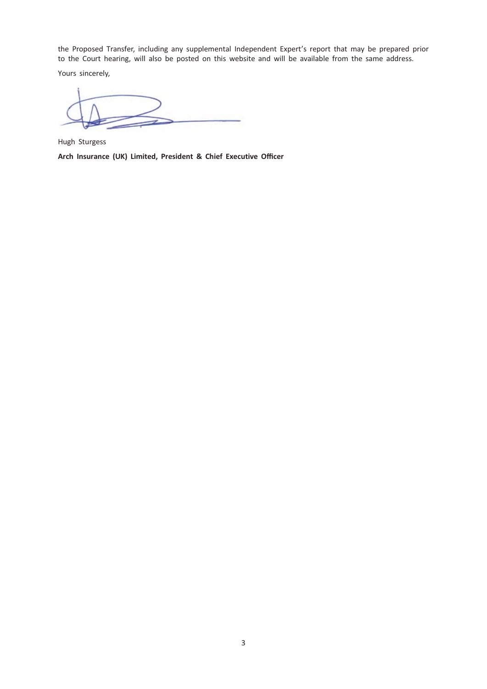the Proposed Transfer, including any supplemental Independent Expert's report that may be prepared prior to the Court hearing, will also be posted on this website and will be available from the same address.

Yours sincerely,

Hugh Sturgess Arch Insurance (UK) Limited, President & Chief Executive Officer